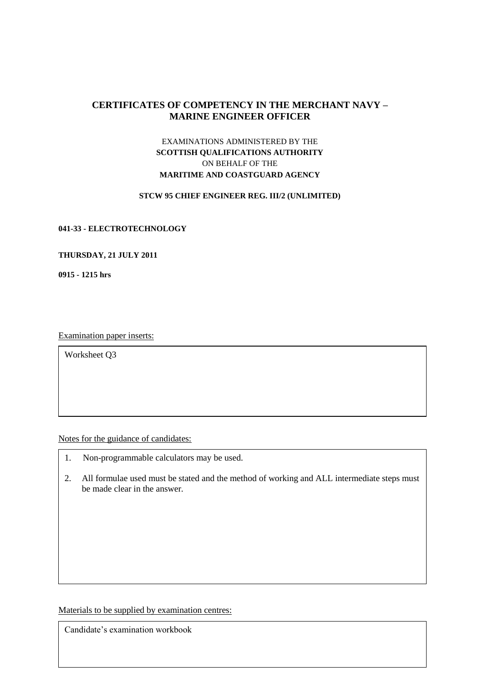# **CERTIFICATES OF COMPETENCY IN THE MERCHANT NAVY – MARINE ENGINEER OFFICER**

# EXAMINATIONS ADMINISTERED BY THE **SCOTTISH QUALIFICATIONS AUTHORITY** ON BEHALF OF THE **MARITIME AND COASTGUARD AGENCY**

#### **STCW 95 CHIEF ENGINEER REG. III/2 (UNLIMITED)**

#### **041-33 - ELECTROTECHNOLOGY**

### **THURSDAY, 21 JULY 2011**

**0915 - 1215 hrs**

Examination paper inserts:

Worksheet Q3

Notes for the guidance of candidates:

- 1. Non-programmable calculators may be used.
- 2. All formulae used must be stated and the method of working and ALL intermediate steps must be made clear in the answer.

Materials to be supplied by examination centres:

Candidate's examination workbook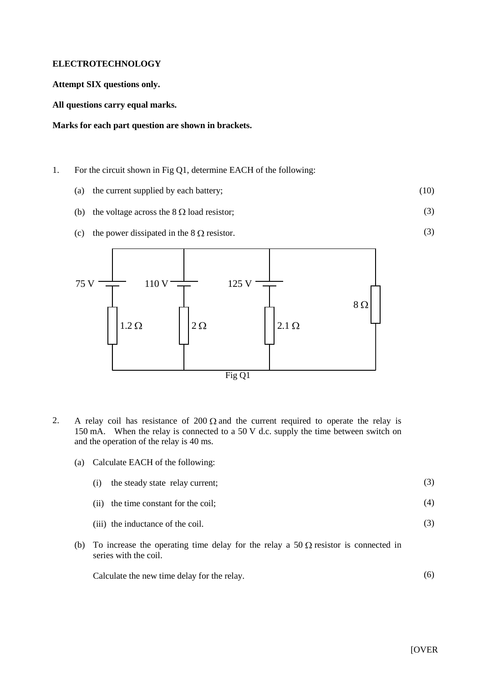### **ELECTROTECHNOLOGY**

**Attempt SIX questions only.**

**All questions carry equal marks.**

### **Marks for each part question are shown in brackets.**

- 1. For the circuit shown in Fig Q1, determine EACH of the following:
	- (a) the current supplied by each battery; (10)
	- (b) the voltage across the  $8 \Omega$  load resistor;
	- (c) the power dissipated in the  $8 \Omega$  resistor.



- 2. A relay coil has resistance of  $200 \Omega$  and the current required to operate the relay is 150 mA. When the relay is connected to a 50 V d.c. supply the time between switch on and the operation of the relay is 40 ms.
	- (a) Calculate EACH of the following:

|  | (i) the steady state relay current; |
|--|-------------------------------------|

- (ii) the time constant for the coil; (4)
- (iii) the inductance of the coil. (3)
- (b) To increase the operating time delay for the relay a 50  $\Omega$  resistor is connected in series with the coil.

Calculate the new time delay for the relay. (6)

(3)

(3)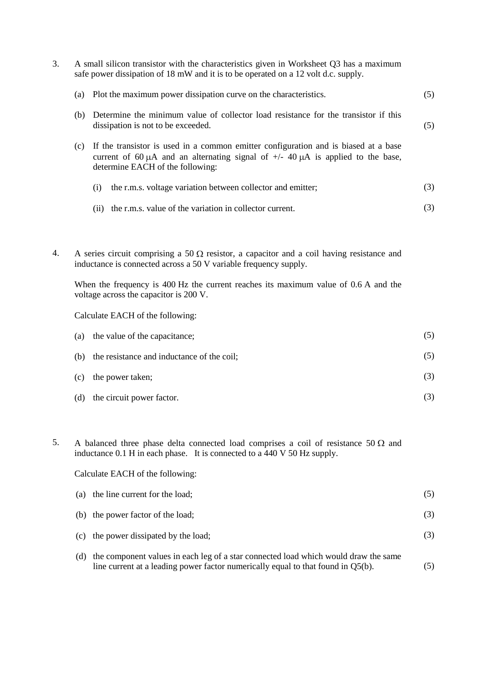| 3. |                                  | A small silicon transistor with the characteristics given in Worksheet Q3 has a maximum<br>safe power dissipation of 18 mW and it is to be operated on a 12 volt d.c. supply.                                                                                                                         |     |  |  |
|----|----------------------------------|-------------------------------------------------------------------------------------------------------------------------------------------------------------------------------------------------------------------------------------------------------------------------------------------------------|-----|--|--|
|    | (a)                              | Plot the maximum power dissipation curve on the characteristics.                                                                                                                                                                                                                                      | (5) |  |  |
|    | (b)                              | Determine the minimum value of collector load resistance for the transistor if this<br>dissipation is not to be exceeded.                                                                                                                                                                             | (5) |  |  |
|    | (c)                              | If the transistor is used in a common emitter configuration and is biased at a base<br>current of 60 $\mu$ A and an alternating signal of $+/- 40 \mu$ A is applied to the base,<br>determine EACH of the following:                                                                                  |     |  |  |
|    |                                  | the r.m.s. voltage variation between collector and emitter;<br>(i)                                                                                                                                                                                                                                    | (3) |  |  |
|    |                                  | the r.m.s. value of the variation in collector current.<br>(ii)                                                                                                                                                                                                                                       | (3) |  |  |
| 4. |                                  | A series circuit comprising a 50 $\Omega$ resistor, a capacitor and a coil having resistance and<br>inductance is connected across a 50 V variable frequency supply.<br>When the frequency is 400 Hz the current reaches its maximum value of 0.6 A and the<br>voltage across the capacitor is 200 V. |     |  |  |
|    | Calculate EACH of the following: |                                                                                                                                                                                                                                                                                                       |     |  |  |
|    | (a)                              | the value of the capacitance;                                                                                                                                                                                                                                                                         | (5) |  |  |
|    | (b)                              | the resistance and inductance of the coil;                                                                                                                                                                                                                                                            | (5) |  |  |
|    | (c)                              | the power taken;                                                                                                                                                                                                                                                                                      | (3) |  |  |
|    | (d)                              | the circuit power factor.                                                                                                                                                                                                                                                                             | (3) |  |  |

5. A balanced three phase delta connected load comprises a coil of resistance 50  $\Omega$  and inductance 0.1 H in each phase. It is connected to a 440 V 50 Hz supply.

Calculate EACH of the following:

| (a) the line current for the load;                                                      |     |
|-----------------------------------------------------------------------------------------|-----|
| (b) the power factor of the load;                                                       | (3) |
| (c) the power dissipated by the load;                                                   | (3) |
| (d) the component values in each leg of a star connected load which would draw the same |     |

line current at a leading power factor numerically equal to that found in Q5(b). (5)